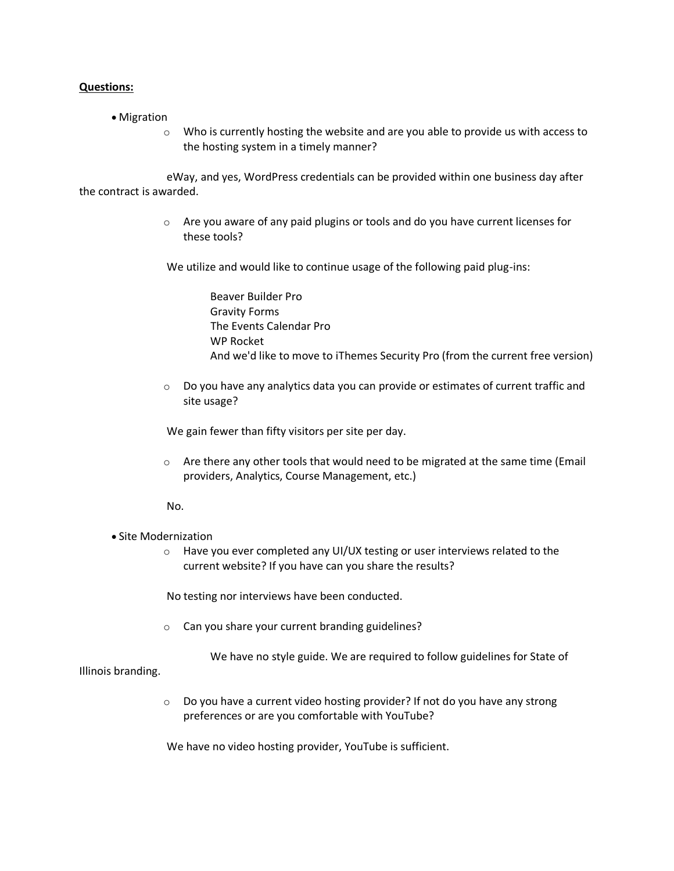## **Questions:**

- Migration
	- o Who is currently hosting the website and are you able to provide us with access to the hosting system in a timely manner?

 eWay, and yes, WordPress credentials can be provided within one business day after the contract is awarded.

> $\circ$  Are you aware of any paid plugins or tools and do you have current licenses for these tools?

We utilize and would like to continue usage of the following paid plug-ins:

 Beaver Builder Pro Gravity Forms The Events Calendar Pro WP Rocket And we'd like to move to iThemes Security Pro (from the current free version)

 $\circ$  Do you have any analytics data you can provide or estimates of current traffic and site usage?

We gain fewer than fifty visitors per site per day.

 $\circ$  Are there any other tools that would need to be migrated at the same time (Email providers, Analytics, Course Management, etc.)

No.

## • Site Modernization

 $\circ$  Have you ever completed any UI/UX testing or user interviews related to the current website? If you have can you share the results?

No testing nor interviews have been conducted.

o Can you share your current branding guidelines?

We have no style guide. We are required to follow guidelines for State of

Illinois branding.

o Do you have a current video hosting provider? If not do you have any strong preferences or are you comfortable with YouTube?

We have no video hosting provider, YouTube is sufficient.